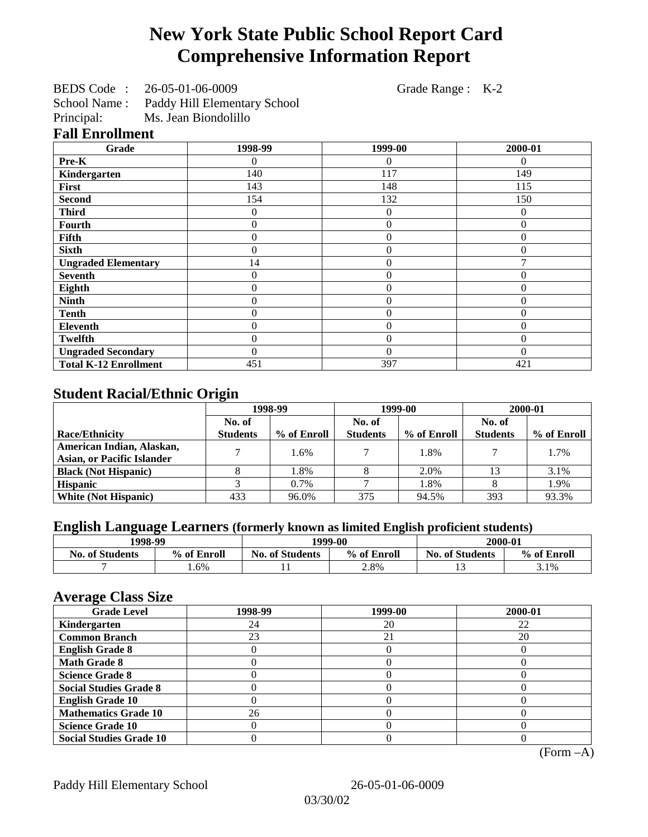# **New York State Public School Report Card Comprehensive Information Report**

| BEDS Code:   | 26-05-01-06-0009             |
|--------------|------------------------------|
| School Name: | Paddy Hill Elementary School |
| Principal:   | Ms. Jean Biondolillo         |

Grade Range : K-2

#### **Fall Enrollment**

| Grade                        | 1998-99 | 1999-00        | 2000-01  |
|------------------------------|---------|----------------|----------|
| Pre-K                        | 0       | 0              | $\theta$ |
| Kindergarten                 | 140     | 117            | 149      |
| First                        | 143     | 148            | 115      |
| <b>Second</b>                | 154     | 132            | 150      |
| <b>Third</b>                 | 0       | $\overline{0}$ | 0        |
| <b>Fourth</b>                | 0       | $\theta$       | $\Omega$ |
| <b>Fifth</b>                 | 0       | $\overline{0}$ |          |
| <b>Sixth</b>                 | 0       | $\overline{0}$ |          |
| <b>Ungraded Elementary</b>   | 14      | $\overline{0}$ |          |
| <b>Seventh</b>               | 0       | $\overline{0}$ |          |
| Eighth                       | 0       | $\theta$       | 0        |
| <b>Ninth</b>                 | 0       | $\overline{0}$ | 0        |
| <b>Tenth</b>                 | 0       | $\theta$       | 0        |
| <b>Eleventh</b>              | 0       | $\theta$       | 0        |
| <b>Twelfth</b>               | 0       | $\overline{0}$ | $\Omega$ |
| <b>Ungraded Secondary</b>    | 0       | $\theta$       | $\theta$ |
| <b>Total K-12 Enrollment</b> | 451     | 397            | 421      |

## **Student Racial/Ethnic Origin**

|                                   | 1998-99         |             | 1999-00         |             | 2000-01         |             |
|-----------------------------------|-----------------|-------------|-----------------|-------------|-----------------|-------------|
|                                   | No. of          |             | No. of          |             | No. of          |             |
| <b>Race/Ethnicity</b>             | <b>Students</b> | % of Enroll | <b>Students</b> | % of Enroll | <b>Students</b> | % of Enroll |
| American Indian, Alaskan,         |                 | 1.6%        |                 | 1.8%        |                 | 1.7%        |
| <b>Asian, or Pacific Islander</b> |                 |             |                 |             |                 |             |
| <b>Black (Not Hispanic)</b>       |                 | 1.8%        |                 | 2.0%        |                 | 3.1%        |
| <b>Hispanic</b>                   |                 | 0.7%        |                 | 1.8%        |                 | 1.9%        |
| <b>White (Not Hispanic)</b>       | 433             | 96.0%       | 375             | 94.5%       | 393             | 93.3%       |

## **English Language Learners (formerly known as limited English proficient students)**

| 1998-99                |             | 1999-00                |             | 2000-01                |             |
|------------------------|-------------|------------------------|-------------|------------------------|-------------|
| <b>No. of Students</b> | % of Enroll | <b>No. of Students</b> | % of Enroll | <b>No. of Students</b> | % of Enroll |
|                        | $1.6\%$     | . .                    | 2.8%        | . .                    | 3.1%        |

### **Average Class Size**

| ------<br><b>Grade Level</b>   | 1998-99 | 1999-00 | 2000-01 |
|--------------------------------|---------|---------|---------|
| Kindergarten                   | 24      | 20      | 22      |
| <b>Common Branch</b>           | 23      | 21      | 20      |
| <b>English Grade 8</b>         |         |         |         |
| <b>Math Grade 8</b>            |         |         |         |
| <b>Science Grade 8</b>         |         |         |         |
| <b>Social Studies Grade 8</b>  |         |         |         |
| <b>English Grade 10</b>        |         |         |         |
| <b>Mathematics Grade 10</b>    | 26      |         |         |
| <b>Science Grade 10</b>        |         |         |         |
| <b>Social Studies Grade 10</b> |         |         |         |

(Form –A)